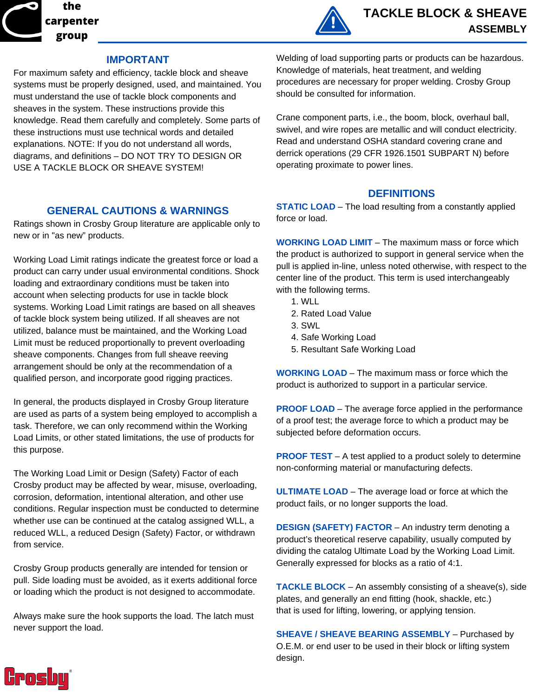



### **IMPORTANT**

For maximum safety and efficiency, tackle block and sheave systems must be properly designed, used, and maintained. You must understand the use of tackle block components and sheaves in the system. These instructions provide this knowledge. Read them carefully and completely. Some parts of these instructions must use technical words and detailed explanations. NOTE: If you do not understand all words, diagrams, and definitions – DO NOT TRY TO DESIGN OR USE A TACKLE BLOCK OR SHEAVE SYSTEM!

## **GENERAL CAUTIONS & WARNINGS**

Ratings shown in Crosby Group literature are applicable only to new or in "as new" products.

Working Load Limit ratings indicate the greatest force or load a product can carry under usual environmental conditions. Shock loading and extraordinary conditions must be taken into account when selecting products for use in tackle block systems. Working Load Limit ratings are based on all sheaves of tackle block system being utilized. If all sheaves are not utilized, balance must be maintained, and the Working Load Limit must be reduced proportionally to prevent overloading sheave components. Changes from full sheave reeving arrangement should be only at the recommendation of a qualified person, and incorporate good rigging practices.

In general, the products displayed in Crosby Group literature are used as parts of a system being employed to accomplish a task. Therefore, we can only recommend within the Working Load Limits, or other stated limitations, the use of products for this purpose.

The Working Load Limit or Design (Safety) Factor of each Crosby product may be affected by wear, misuse, overloading, corrosion, deformation, intentional alteration, and other use conditions. Regular inspection must be conducted to determine whether use can be continued at the catalog assigned WLL, a reduced WLL, a reduced Design (Safety) Factor, or withdrawn from service.

Crosby Group products generally are intended for tension or pull. Side loading must be avoided, as it exerts additional force or loading which the product is not designed to accommodate.

Always make sure the hook supports the load. The latch must never support the load.

Welding of load supporting parts or products can be hazardous. Knowledge of materials, heat treatment, and welding procedures are necessary for proper welding. Crosby Group should be consulted for information.

Crane component parts, i.e., the boom, block, overhaul ball, swivel, and wire ropes are metallic and will conduct electricity. Read and understand OSHA standard covering crane and derrick operations (29 CFR 1926.1501 SUBPART N) before operating proximate to power lines.

### **DEFINITIONS**

**STATIC LOAD** – The load resulting from a constantly applied force or load.

**WORKING LOAD LIMIT** – The maximum mass or force which the product is authorized to support in general service when the pull is applied in-line, unless noted otherwise, with respect to the center line of the product. This term is used interchangeably with the following terms.

- 1. WLL
- 2. Rated Load Value
- 3. SWL
- 4. Safe Working Load
- 5. Resultant Safe Working Load

**WORKING LOAD** – The maximum mass or force which the product is authorized to support in a particular service.

**PROOF LOAD** – The average force applied in the performance of a proof test; the average force to which a product may be subjected before deformation occurs.

**PROOF TEST** – A test applied to a product solely to determine non-conforming material or manufacturing defects.

**ULTIMATE LOAD** – The average load or force at which the product fails, or no longer supports the load.

**DESIGN (SAFETY) FACTOR** – An industry term denoting a product's theoretical reserve capability, usually computed by dividing the catalog Ultimate Load by the Working Load Limit. Generally expressed for blocks as a ratio of 4:1.

**TACKLE BLOCK** – An assembly consisting of a sheave(s), side plates, and generally an end fitting (hook, shackle, etc.) that is used for lifting, lowering, or applying tension.

**SHEAVE / SHEAVE BEARING ASSEMBLY** – Purchased by O.E.M. or end user to be used in their block or lifting system design.

**Crosbu**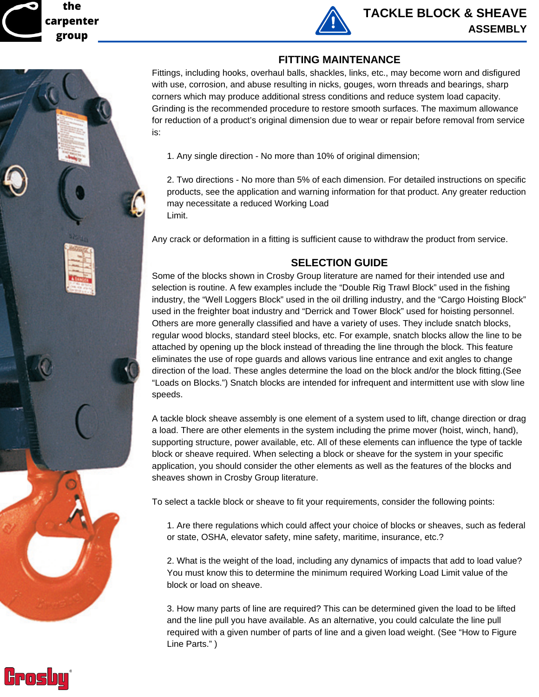**the carpenter group**



## **FITTING MAINTENANCE**

Fittings, including hooks, overhaul balls, shackles, links, etc., may become worn and disfigured with use, corrosion, and abuse resulting in nicks, gouges, worn threads and bearings, sharp corners which may produce additional stress conditions and reduce system load capacity. Grinding is the recommended procedure to restore smooth surfaces. The maximum allowance for reduction of a product's original dimension due to wear or repair before removal from service is:

1. Any single direction - No more than 10% of original dimension;

2. Two directions - No more than 5% of each dimension. For detailed instructions on specific products, see the application and warning information for that product. Any greater reduction may necessitate a reduced Working Load Limit.

Any crack or deformation in a fitting is sufficient cause to withdraw the product from service.

## **SELECTION GUIDE**

Some of the blocks shown in Crosby Group literature are named for their intended use and selection is routine. A few examples include the "Double Rig Trawl Block" used in the fishing industry, the "Well Loggers Block" used in the oil drilling industry, and the "Cargo Hoisting Block" used in the freighter boat industry and "Derrick and Tower Block" used for hoisting personnel. Others are more generally classified and have a variety of uses. They include snatch blocks, regular wood blocks, standard steel blocks, etc. For example, snatch blocks allow the line to be attached by opening up the block instead of threading the line through the block. This feature eliminates the use of rope guards and allows various line entrance and exit angles to change direction of the load. These angles determine the load on the block and/or the block fitting.(See "Loads on Blocks.") Snatch blocks are intended for infrequent and intermittent use with slow line speeds.

A tackle block sheave assembly is one element of a system used to lift, change direction or drag a load. There are other elements in the system including the prime mover (hoist, winch, hand), supporting structure, power available, etc. All of these elements can influence the type of tackle block or sheave required. When selecting a block or sheave for the system in your specific application, you should consider the other elements as well as the features of the blocks and sheaves shown in Crosby Group literature.

To select a tackle block or sheave to fit your requirements, consider the following points:

1. Are there regulations which could affect your choice of blocks or sheaves, such as federal or state, OSHA, elevator safety, mine safety, maritime, insurance, etc.?

2. What is the weight of the load, including any dynamics of impacts that add to load value? You must know this to determine the minimum required Working Load Limit value of the block or load on sheave.

3. How many parts of line are required? This can be determined given the load to be lifted and the line pull you have available. As an alternative, you could calculate the line pull required with a given number of parts of line and a given load weight. (See "How to Figure Line Parts." )

Grosbu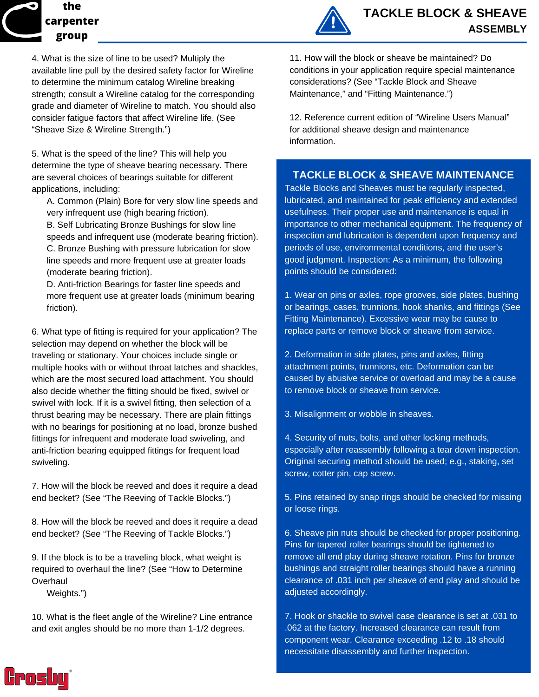# **the carpenter group**

4. What is the size of line to be used? Multiply the available line pull by the desired safety factor for Wireline to determine the minimum catalog Wireline breaking strength; consult a Wireline catalog for the corresponding grade and diameter of Wireline to match. You should also consider fatigue factors that affect Wireline life. (See "Sheave Size & Wireline Strength.")

5. What is the speed of the line? This will help you determine the type of sheave bearing necessary. There are several choices of bearings suitable for different applications, including:

A. Common (Plain) Bore for very slow line speeds and very infrequent use (high bearing friction).

B. Self Lubricating Bronze Bushings for slow line speeds and infrequent use (moderate bearing friction). C. Bronze Bushing with pressure lubrication for slow line speeds and more frequent use at greater loads (moderate bearing friction).

D. Anti-friction Bearings for faster line speeds and more frequent use at greater loads (minimum bearing friction).

6. What type of fitting is required for your application? The selection may depend on whether the block will be traveling or stationary. Your choices include single or multiple hooks with or without throat latches and shackles, which are the most secured load attachment. You should also decide whether the fitting should be fixed, swivel or swivel with lock. If it is a swivel fitting, then selection of a thrust bearing may be necessary. There are plain fittings with no bearings for positioning at no load, bronze bushed fittings for infrequent and moderate load swiveling, and anti-friction bearing equipped fittings for frequent load swiveling.

7. How will the block be reeved and does it require a dead end becket? (See "The Reeving of Tackle Blocks.")

8. How will the block be reeved and does it require a dead end becket? (See "The Reeving of Tackle Blocks.")

9. If the block is to be a traveling block, what weight is required to overhaul the line? (See "How to Determine **Overhaul** 

Weights.")

10. What is the fleet angle of the Wireline? Line entrance and exit angles should be no more than 1-1/2 degrees.



11. How will the block or sheave be maintained? Do conditions in your application require special maintenance considerations? (See "Tackle Block and Sheave Maintenance," and "Fitting Maintenance.")

12. Reference current edition of "Wireline Users Manual" for additional sheave design and maintenance information.

## **TACKLE BLOCK & SHEAVE MAINTENANCE**

Tackle Blocks and Sheaves must be regularly inspected, lubricated, and maintained for peak efficiency and extended usefulness. Their proper use and maintenance is equal in importance to other mechanical equipment. The frequency of inspection and lubrication is dependent upon frequency and periods of use, environmental conditions, and the user's good judgment. Inspection: As a minimum, the following points should be considered:

1. Wear on pins or axles, rope grooves, side plates, bushing or bearings, cases, trunnions, hook shanks, and fittings (See Fitting Maintenance). Excessive wear may be cause to replace parts or remove block or sheave from service.

2. Deformation in side plates, pins and axles, fitting attachment points, trunnions, etc. Deformation can be caused by abusive service or overload and may be a cause to remove block or sheave from service.

3. Misalignment or wobble in sheaves.

4. Security of nuts, bolts, and other locking methods, especially after reassembly following a tear down inspection. Original securing method should be used; e.g., staking, set screw, cotter pin, cap screw.

5. Pins retained by snap rings should be checked for missing or loose rings.

6. Sheave pin nuts should be checked for proper positioning. Pins for tapered roller bearings should be tightened to remove all end play during sheave rotation. Pins for bronze bushings and straight roller bearings should have a running clearance of .031 inch per sheave of end play and should be adjusted accordingly.

7. Hook or shackle to swivel case clearance is set at .031 to .062 at the factory. Increased clearance can result from component wear. Clearance exceeding .12 to .18 should necessitate disassembly and further inspection.

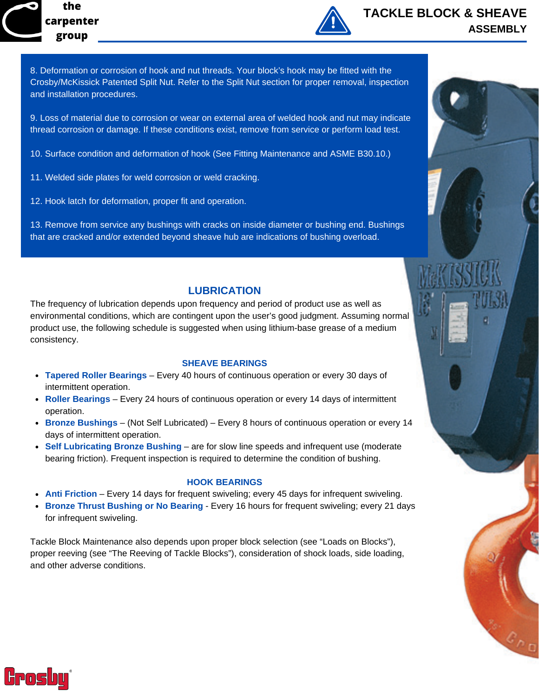



# **TACKLE BLOCK & SHEAVE ASSEMBLY**

8. Deformation or corrosion of hook and nut threads. Your block's hook may be fitted with the Crosby/McKissick Patented Split Nut. Refer to the Split Nut section for proper removal, inspection and installation procedures.

9. Loss of material due to corrosion or wear on external area of welded hook and nut may indicate thread corrosion or damage. If these conditions exist, remove from service or perform load test.

- 10. Surface condition and deformation of hook (See Fitting Maintenance and ASME B30.10.)
- 11. Welded side plates for weld corrosion or weld cracking.
- 12. Hook latch for deformation, proper fit and operation.

13. Remove from service any bushings with cracks on inside diameter or bushing end. Bushings that are cracked and/or extended beyond sheave hub are indications of bushing overload.

## **LUBRICATION**

The frequency of lubrication depends upon frequency and period of product use as well as environmental conditions, which are contingent upon the user's good judgment. Assuming normal product use, the following schedule is suggested when using lithium-base grease of a medium consistency.

#### **SHEAVE BEARINGS**

- **Tapered Roller Bearings** Every 40 hours of continuous operation or every 30 days of intermittent operation.
- **Roller Bearings** Every 24 hours of continuous operation or every 14 days of intermittent operation.
- **Bronze Bushings** (Not Self Lubricated) Every 8 hours of continuous operation or every 14 days of intermittent operation.
- **Self Lubricating Bronze Bushing** are for slow line speeds and infrequent use (moderate bearing friction). Frequent inspection is required to determine the condition of bushing.

#### **HOOK BEARINGS**

- **Anti Friction** Every 14 days for frequent swiveling; every 45 days for infrequent swiveling.
- **Bronze Thrust Bushing or No Bearing** Every 16 hours for frequent swiveling; every 21 days for infrequent swiveling.

Tackle Block Maintenance also depends upon proper block selection (see "Loads on Blocks"), proper reeving (see "The Reeving of Tackle Blocks"), consideration of shock loads, side loading, and other adverse conditions.

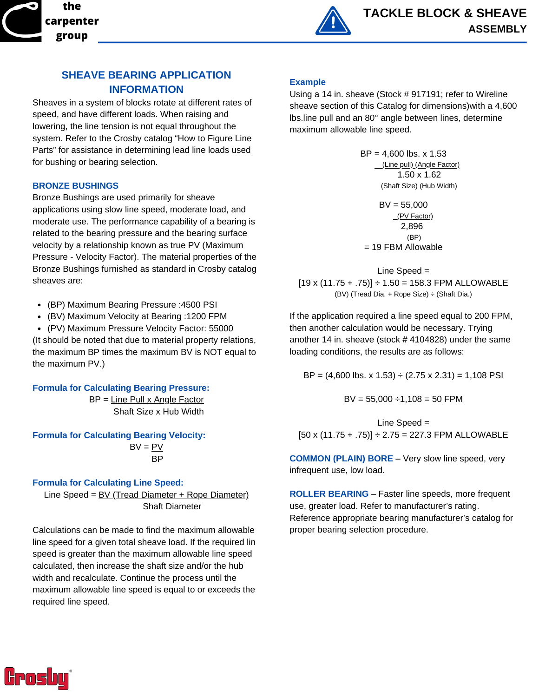



## **SHEAVE BEARING APPLICATION INFORMATION**

Sheaves in a system of blocks rotate at different rates of speed, and have different loads. When raising and lowering, the line tension is not equal throughout the system. Refer to the Crosby catalog "How to Figure Line Parts" for assistance in determining lead line loads used for bushing or bearing selection.

#### **BRONZE BUSHINGS**

Bronze Bushings are used primarily for sheave applications using slow line speed, moderate load, and moderate use. The performance capability of a bearing is related to the bearing pressure and the bearing surface velocity by a relationship known as true PV (Maximum Pressure - Velocity Factor). The material properties of the Bronze Bushings furnished as standard in Crosby catalog sheaves are:

- (BP) Maximum Bearing Pressure :4500 PSI
- (BV) Maximum Velocity at Bearing :1200 FPM
- (PV) Maximum Pressure Velocity Factor: 55000

(It should be noted that due to material property relations, the maximum BP times the maximum BV is NOT equal to the maximum PV.)

**Formula for Calculating Bearing Pressure:**

BP = Line Pull x Angle Factor Shaft Size x Hub Width

**Formula for Calculating Bearing Velocity:**

 $BV = PV$ BP

#### **Formula for Calculating Line Speed:**

Line Speed =  $BV$  (Tread Diameter + Rope Diameter) Shaft Diameter

Calculations can be made to find the maximum allowable line speed for a given total sheave load. If the required lin speed is greater than the maximum allowable line speed calculated, then increase the shaft size and/or the hub width and recalculate. Continue the process until the maximum allowable line speed is equal to or exceeds the required line speed.

#### **Example**

Using a 14 in. sheave (Stock # 917191; refer to Wireline sheave section of this Catalog for dimensions)with a 4,600 lbs.line pull and an 80° angle between lines, determine maximum allowable line speed.

> $BP = 4,600$  lbs. x 1.53 (Line pull) (Angle Factor) 1.50 x 1.62 (Shaft Size) (Hub Width)

BV = 55,000 (PV Factor) 2,896 (BP) = 19 FBM Allowable

Line Speed = 
$$
[19 \times (11.75 + .75)] \div 1.50 = 158.3
$$
 FPM ALLOWABLE (BV) (Tread Dia. + Rope Size) ÷ (Shaft Dia.)

If the application required a line speed equal to 200 FPM, then another calculation would be necessary. Trying another 14 in. sheave (stock # 4104828) under the same loading conditions, the results are as follows:

BP =  $(4,600$  lbs. x 1.53) ÷  $(2.75 \times 2.31) = 1,108$  PSI

 $BV = 55,000 \div 1,108 = 50$  FPM

Line Speed =  $[50 \times (11.75 + .75)] \div 2.75 = 227.3$  FPM ALLOWABLE

**COMMON (PLAIN) BORE** – Very slow line speed, very infrequent use, low load.

**ROLLER BEARING** – Faster line speeds, more frequent use, greater load. Refer to manufacturer's rating. Reference appropriate bearing manufacturer's catalog for proper bearing selection procedure.

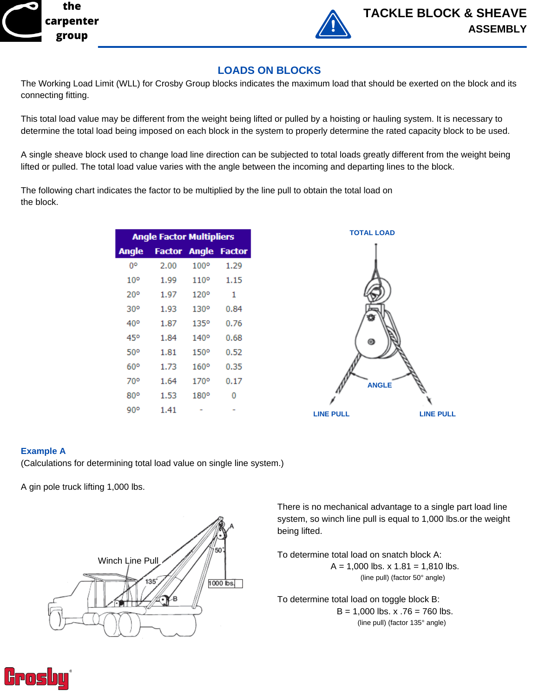



## **LOADS ON BLOCKS**

The Working Load Limit (WLL) for Crosby Group blocks indicates the maximum load that should be exerted on the block and its connecting fitting.

This total load value may be different from the weight being lifted or pulled by a hoisting or hauling system. It is necessary to determine the total load being imposed on each block in the system to properly determine the rated capacity block to be used.

A single sheave block used to change load line direction can be subjected to total loads greatly different from the weight being lifted or pulled. The total load value varies with the angle between the incoming and departing lines to the block.

The following chart indicates the factor to be multiplied by the line pull to obtain the total load on the block.

| <b>Angle Factor Multipliers</b> |                     |             |               |  |
|---------------------------------|---------------------|-------------|---------------|--|
| <b>Angle</b>                    | <b>Factor Angle</b> |             | <b>Factor</b> |  |
| O٥                              | 2.00                | $100^\circ$ | 1.29          |  |
| 10°                             | 1.99                | 110°        | 1.15          |  |
| 20°                             | 1.97                | 120°        | 1             |  |
| 30°                             | 1.93                | 130°        | 0.84          |  |
| 40°                             | 1.87                | 135°        | 0.76          |  |
| 45°                             | 1.84                | 140°        | 0.68          |  |
| 50°                             | 1.81                | 150°        | 0.52          |  |
| 60°                             | 1.73                | 160°        | 0.35          |  |
| 70°                             | 1.64                | 170°        | 0.17          |  |
| 80°                             | 1.53                | $180^\circ$ | 0             |  |
| 90°                             | 1.41                |             |               |  |



#### **Example A**

(Calculations for determining total load value on single line system.)

A gin pole truck lifting 1,000 lbs.



There is no mechanical advantage to a single part load line system, so winch line pull is equal to 1,000 lbs.or the weight being lifted.

To determine total load on snatch block A:  $A = 1,000$  lbs.  $x 1.81 = 1.810$  lbs. (line pull) (factor 50° angle)

To determine total load on toggle block B:  $B = 1,000$  lbs. x  $.76 = 760$  lbs. (line pull) (factor 135° angle)

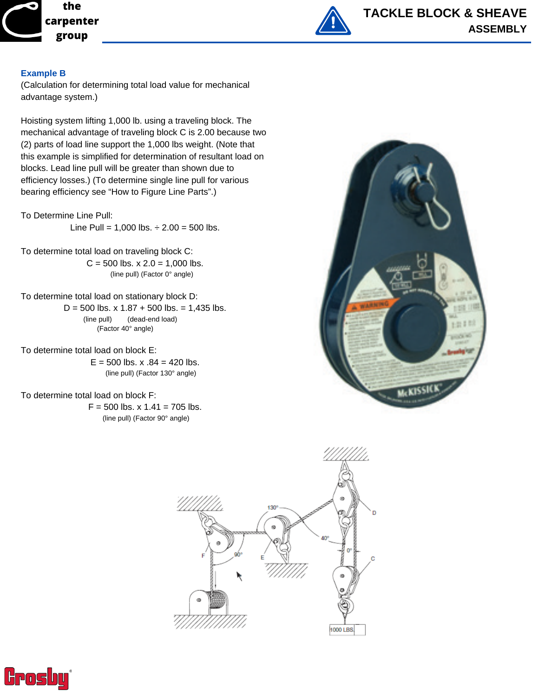



#### **Example B**

(Calculation for determining total load value for mechanical advantage system.)

Hoisting system lifting 1,000 lb. using a traveling block. The mechanical advantage of traveling block C is 2.00 because two (2) parts of load line support the 1,000 lbs weight. (Note that this example is simplified for determination of resultant load on blocks. Lead line pull will be greater than shown due to efficiency losses.) (To determine single line pull for various bearing efficiency see "How to Figure Line Parts".)

To Determine Line Pull:

Line Pull =  $1,000$  lbs.  $\div 2.00 = 500$  lbs.

To determine total load on traveling block C:  $C = 500$  lbs.  $x 2.0 = 1,000$  lbs. (line pull) (Factor 0° angle)

To determine total load on stationary block D:

D = 500 lbs.  $\times$  1.87 + 500 lbs. = 1,435 lbs. (line pull) (dead-end load) (Factor 40° angle)

To determine total load on block E:  $E = 500$  lbs. x  $.84 = 420$  lbs. (line pull) (Factor 130° angle)

To determine total load on block F:

 $F = 500$  lbs. x  $1.41 = 705$  lbs. (line pull) (Factor 90° angle)





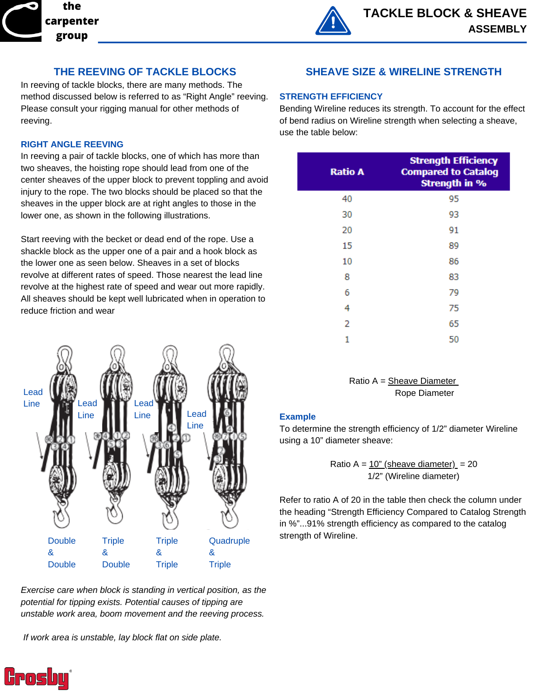

## **THE REEVING OF TACKLE BLOCKS**

In reeving of tackle blocks, there are many methods. The method discussed below is referred to as "Right Angle" reeving. Please consult your rigging manual for other methods of reeving.

#### **RIGHT ANGLE REEVING**

In reeving a pair of tackle blocks, one of which has more than two sheaves, the hoisting rope should lead from one of the center sheaves of the upper block to prevent toppling and avoid injury to the rope. The two blocks should be placed so that the sheaves in the upper block are at right angles to those in the lower one, as shown in the following illustrations.

Start reeving with the becket or dead end of the rope. Use a shackle block as the upper one of a pair and a hook block as the lower one as seen below. Sheaves in a set of blocks revolve at different rates of speed. Those nearest the lead line revolve at the highest rate of speed and wear out more rapidly. All sheaves should be kept well lubricated when in operation to reduce friction and wear



*Exercise care when block is standing in vertical position, as the potential for tipping exists. Potential causes of tipping are unstable work area, boom movement and the reeving process.*

*If work area is unstable, lay block flat on side plate.*

## **SHEAVE SIZE & WIRELINE STRENGTH**

#### **STRENGTH EFFICIENCY**

Bending Wireline reduces its strength. To account for the effect of bend radius on Wireline strength when selecting a sheave, use the table below:

| <b>Ratio A</b> | <b>Strength Efficiency</b><br><b>Compared to Catalog</b><br><b>Strength in %</b> |
|----------------|----------------------------------------------------------------------------------|
| 40             | 95                                                                               |
| 30             | 93                                                                               |
| 20             | 91                                                                               |
| 15             | 89                                                                               |
| 10             | 86                                                                               |
| 8              | 83                                                                               |
| 6              | 79                                                                               |
| 4              | 75                                                                               |
| 2              | 65                                                                               |
| 1              | 50                                                                               |

Ratio A = Sheave Diameter Rope Diameter

#### **Example**

To determine the strength efficiency of 1/2" diameter Wireline using a 10" diameter sheave:

> Ratio A =  $10$ " (sheave diameter) = 20 1/2" (Wireline diameter)

Refer to ratio A of 20 in the table then check the column under the heading "Strength Efficiency Compared to Catalog Strength in %"...91% strength efficiency as compared to the catalog strength of Wireline.

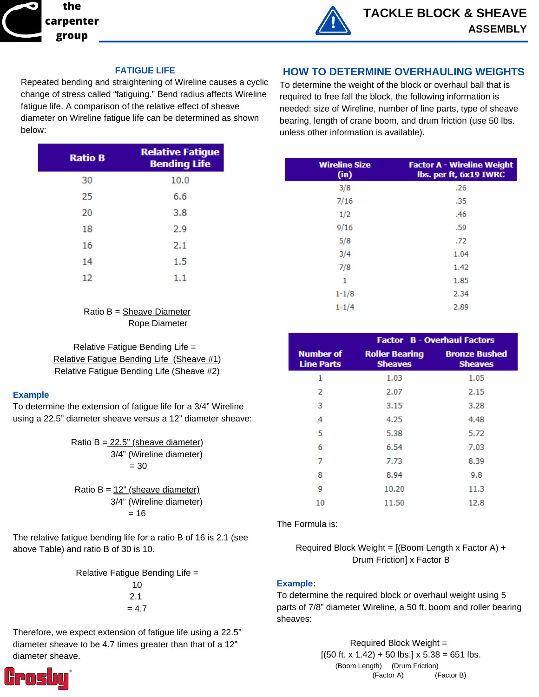

#### **FATIGUE LIFE**

Repeated bending and straightening of Wireline causes a cyclic change of stress called "fatiguing." Bend radius affects Wireline fatigue life. A comparison of the relative effect of sheave diameter on Wireline fatigue life can be determined as shown below:

| <b>Ratio B</b> | <b>Relative Fatigue</b><br><b>Bending Life</b> |
|----------------|------------------------------------------------|
| 30             | 10.0                                           |
| 25             | 6.6                                            |
| 20             | 3.8                                            |
| 18             | 2.9                                            |
| 16             | 2.1                                            |
| 14             | $1.5\,$                                        |
| 12             | 1.1                                            |

Ratio B = Sheave Diameter Rope Diameter

Relative Fatigue Bending Life = Relative Fatigue Bending Life (Sheave #1) Relative Fatigue Bending Life (Sheave #2)

#### **Example**

To determine the extension of fatigue life for a 3/4" Wireline using a 22.5" diameter sheave versus a 12" diameter sheave:

> Ratio B =  $22.5$ " (sheave diameter) 3/4" (Wireline diameter)  $= 30$ Ratio  $B = 12$ " (sheave diameter) 3/4" (Wireline diameter)  $= 16$

The relative fatigue bending life for a ratio B of 16 is 2.1 (see above Table) and ratio B of 30 is 10.

Relative Fatigue Bending Life =

10 2.1  $= 4.7$ 

Therefore, we expect extension of fatigue life using a 22.5" diameter sheave to be 4.7 times greater than that of a 12" diameter sheave.



To determine the weight of the block or overhaul ball that is required to free fall the block, the following information is needed: size of Wireline, number of line parts, type of sheave bearing, length of crane boom, and drum friction (use 50 lbs. unless other information is available).

| <b>Wireline Size</b><br>(in) | <b>Factor A - Wireline Weight</b><br>lbs. per ft, 6x19 IWRC |
|------------------------------|-------------------------------------------------------------|
| 3/8                          | .26                                                         |
| 7/16                         | .35                                                         |
| 1/2                          | .46                                                         |
| 9/16                         | .59                                                         |
| 5/8                          | .72                                                         |
| 3/4                          | 1.04                                                        |
| 7/8                          | 1.42                                                        |
| 1                            | 1.85                                                        |
| $1 - 1/8$                    | 2.34                                                        |
| $1 - 1/4$                    | 2.89                                                        |

|                                       | <b>Factor B - Overhaul Factors</b>      |                                        |  |
|---------------------------------------|-----------------------------------------|----------------------------------------|--|
| <b>Number of</b><br><b>Line Parts</b> | <b>Roller Bearing</b><br><b>Sheaves</b> | <b>Bronze Bushed</b><br><b>Sheaves</b> |  |
| 1                                     | 1.03                                    | 1.05                                   |  |
| 2                                     | 2.07                                    | 2.15                                   |  |
| з                                     | 3.15                                    | 3.28                                   |  |
| 4                                     | 4.25                                    | 4.48                                   |  |
| 5                                     | 5.38                                    | 5.72                                   |  |
| 6                                     | 6.54                                    | 7.03                                   |  |
| 7                                     | 7.73                                    | 8.39                                   |  |
| 8                                     | 8.94                                    | 9.8                                    |  |
| ٩                                     | 10.20                                   | 11.3                                   |  |
| 10                                    | 11.50                                   | 12.8                                   |  |

The Formula is:

Required Block Weight =  $[(\text{Boom Length} \times \text{Factor A}) +$ Drum Friction] x Factor B

#### **Example:**

To determine the required block or overhaul weight using 5 parts of 7/8" diameter Wireline, a 50 ft. boom and roller bearing sheaves:

> Required Block Weight =  $[(50$  ft. x 1.42) + 50 lbs.] x 5.38 = 651 lbs. (Boom Length) (Drum Friction) (Factor A) (Factor B)

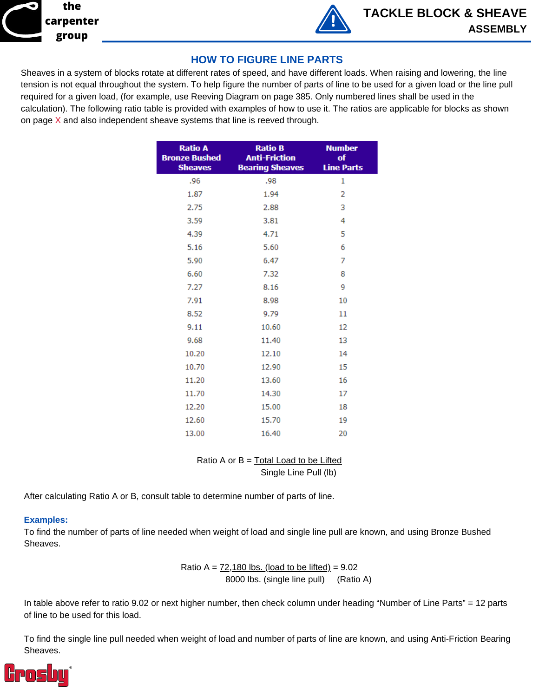



## **HOW TO FIGURE LINE PARTS**

Sheaves in a system of blocks rotate at different rates of speed, and have different loads. When raising and lowering, the line tension is not equal throughout the system. To help figure the number of parts of line to be used for a given load or the line pull required for a given load, (for example, use Reeving Diagram on page 385. Only numbered lines shall be used in the calculation). The following ratio table is provided with examples of how to use it. The ratios are applicable for blocks as shown on page  $X$  and also independent sheave systems that line is reeved through.

| <b>Ratio A</b><br><b>Bronze Bushed</b><br><b>Sheaves</b> | <b>Ratio B</b><br><b>Anti-Friction</b><br><b>Bearing Sheaves</b> | <b>Number</b><br>of<br><b>Line Parts</b> |
|----------------------------------------------------------|------------------------------------------------------------------|------------------------------------------|
| .96                                                      | .98                                                              | 1                                        |
| 1.87                                                     | 1.94                                                             | 2                                        |
| 2.75                                                     | 2.88                                                             | 3                                        |
| 3.59                                                     | 3.81                                                             | 4                                        |
| 4.39                                                     | 4.71                                                             | 5                                        |
| 5.16                                                     | 5.60                                                             | 6                                        |
| 5.90                                                     | 6.47                                                             | 7                                        |
| 6.60                                                     | 7.32                                                             | 8                                        |
| 7.27                                                     | 8.16                                                             | 9                                        |
| 7.91                                                     | 8.98                                                             | 10                                       |
| 8.52                                                     | 9.79                                                             | 11                                       |
| 9.11                                                     | 10.60                                                            | 12                                       |
| 9.68                                                     | 11.40                                                            | 13                                       |
| 10.20                                                    | 12.10                                                            | 14                                       |
| 10.70                                                    | 12.90                                                            | 15                                       |
| 11.20                                                    | 13.60                                                            | 16                                       |
| 11.70                                                    | 14.30                                                            | 17                                       |
| 12.20                                                    | 15.00                                                            | 18                                       |
| 12.60                                                    | 15.70                                                            | 19                                       |
| 13.00                                                    | 16.40                                                            | 20                                       |

Ratio A or  $B = Total Load$  to be Lifted Single Line Pull (lb)

After calculating Ratio A or B, consult table to determine number of parts of line.

#### **Examples:**

To find the number of parts of line needed when weight of load and single line pull are known, and using Bronze Bushed Sheaves.

> Ratio A =  $72,180$  lbs. (load to be lifted) =  $9.02$ 8000 lbs. (single line pull) (Ratio A)

In table above refer to ratio 9.02 or next higher number, then check column under heading "Number of Line Parts" = 12 parts of line to be used for this load.

To find the single line pull needed when weight of load and number of parts of line are known, and using Anti-Friction Bearing Sheaves.